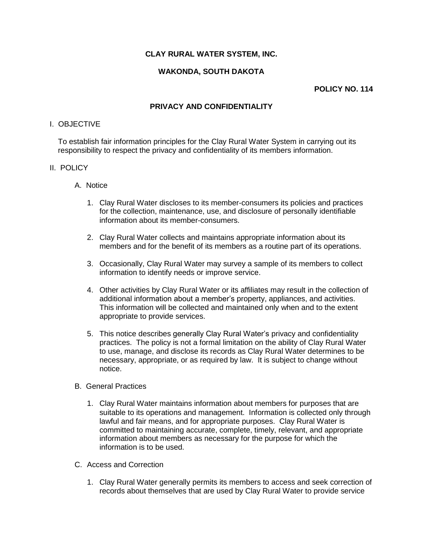# **CLAY RURAL WATER SYSTEM, INC.**

## **WAKONDA, SOUTH DAKOTA**

#### **POLICY NO. 114**

### **PRIVACY AND CONFIDENTIALITY**

#### I. OBJECTIVE

To establish fair information principles for the Clay Rural Water System in carrying out its responsibility to respect the privacy and confidentiality of its members information.

#### II. POLICY

- A. Notice
	- 1. Clay Rural Water discloses to its member-consumers its policies and practices for the collection, maintenance, use, and disclosure of personally identifiable information about its member-consumers.
	- 2. Clay Rural Water collects and maintains appropriate information about its members and for the benefit of its members as a routine part of its operations.
	- 3. Occasionally, Clay Rural Water may survey a sample of its members to collect information to identify needs or improve service.
	- 4. Other activities by Clay Rural Water or its affiliates may result in the collection of additional information about a member's property, appliances, and activities. This information will be collected and maintained only when and to the extent appropriate to provide services.
	- 5. This notice describes generally Clay Rural Water's privacy and confidentiality practices. The policy is not a formal limitation on the ability of Clay Rural Water to use, manage, and disclose its records as Clay Rural Water determines to be necessary, appropriate, or as required by law. It is subject to change without notice.
- B. General Practices
	- 1. Clay Rural Water maintains information about members for purposes that are suitable to its operations and management. Information is collected only through lawful and fair means, and for appropriate purposes. Clay Rural Water is committed to maintaining accurate, complete, timely, relevant, and appropriate information about members as necessary for the purpose for which the information is to be used.
- C. Access and Correction
	- 1. Clay Rural Water generally permits its members to access and seek correction of records about themselves that are used by Clay Rural Water to provide service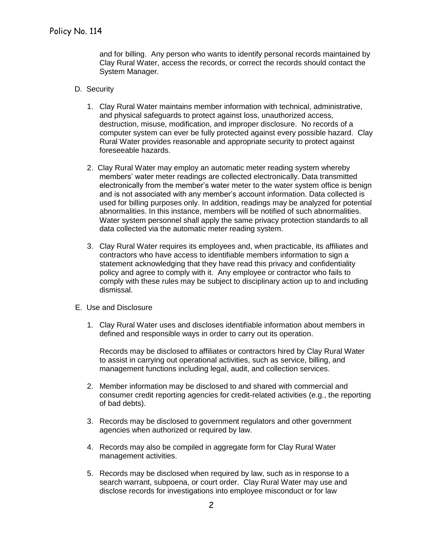and for billing. Any person who wants to identify personal records maintained by Clay Rural Water, access the records, or correct the records should contact the System Manager.

- D. Security
	- 1. Clay Rural Water maintains member information with technical, administrative, and physical safeguards to protect against loss, unauthorized access, destruction, misuse, modification, and improper disclosure. No records of a computer system can ever be fully protected against every possible hazard. Clay Rural Water provides reasonable and appropriate security to protect against foreseeable hazards.
	- 2. Clay Rural Water may employ an automatic meter reading system whereby members' water meter readings are collected electronically. Data transmitted electronically from the member's water meter to the water system office is benign and is not associated with any member's account information. Data collected is used for billing purposes only. In addition, readings may be analyzed for potential abnormalities. In this instance, members will be notified of such abnormalities. Water system personnel shall apply the same privacy protection standards to all data collected via the automatic meter reading system.
	- 3. Clay Rural Water requires its employees and, when practicable, its affiliates and contractors who have access to identifiable members information to sign a statement acknowledging that they have read this privacy and confidentiality policy and agree to comply with it. Any employee or contractor who fails to comply with these rules may be subject to disciplinary action up to and including dismissal.
- E. Use and Disclosure
	- 1. Clay Rural Water uses and discloses identifiable information about members in defined and responsible ways in order to carry out its operation.

Records may be disclosed to affiliates or contractors hired by Clay Rural Water to assist in carrying out operational activities, such as service, billing, and management functions including legal, audit, and collection services.

- 2. Member information may be disclosed to and shared with commercial and consumer credit reporting agencies for credit-related activities (e.g., the reporting of bad debts).
- 3. Records may be disclosed to government regulators and other government agencies when authorized or required by law.
- 4. Records may also be compiled in aggregate form for Clay Rural Water management activities.
- 5. Records may be disclosed when required by law, such as in response to a search warrant, subpoena, or court order. Clay Rural Water may use and disclose records for investigations into employee misconduct or for law